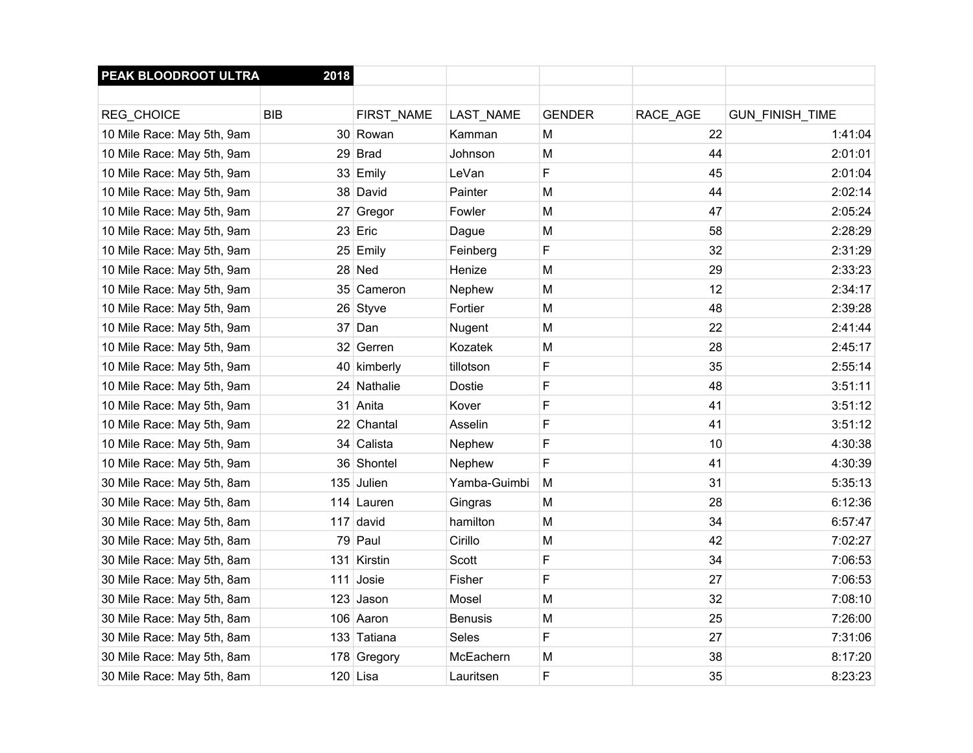| PEAK BLOODROOT ULTRA       | 2018       |             |                |               |          |                 |
|----------------------------|------------|-------------|----------------|---------------|----------|-----------------|
|                            |            |             |                |               |          |                 |
| REG_CHOICE                 | <b>BIB</b> | FIRST_NAME  | LAST_NAME      | <b>GENDER</b> | RACE_AGE | GUN_FINISH_TIME |
| 10 Mile Race: May 5th, 9am |            | 30 Rowan    | Kamman         | м             | 22       | 1:41:04         |
| 10 Mile Race: May 5th, 9am |            | 29 Brad     | Johnson        | M             | 44       | 2:01:01         |
| 10 Mile Race: May 5th, 9am |            | 33 Emily    | LeVan          | F             | 45       | 2:01:04         |
| 10 Mile Race: May 5th, 9am |            | 38 David    | Painter        | м             | 44       | 2:02:14         |
| 10 Mile Race: May 5th, 9am |            | 27 Gregor   | Fowler         | м             | 47       | 2:05:24         |
| 10 Mile Race: May 5th, 9am |            | 23 Eric     | Dague          | M             | 58       | 2:28:29         |
| 10 Mile Race: May 5th, 9am |            | 25 Emily    | Feinberg       | F             | 32       | 2:31:29         |
| 10 Mile Race: May 5th, 9am |            | 28 Ned      | Henize         | М             | 29       | 2:33:23         |
| 10 Mile Race: May 5th, 9am |            | 35 Cameron  | Nephew         | M             | 12       | 2:34:17         |
| 10 Mile Race: May 5th, 9am |            | 26 Styve    | Fortier        | м             | 48       | 2:39:28         |
| 10 Mile Race: May 5th, 9am | 37         | Dan         | Nugent         | M             | 22       | 2:41:44         |
| 10 Mile Race: May 5th, 9am |            | 32 Gerren   | Kozatek        | M             | 28       | 2:45:17         |
| 10 Mile Race: May 5th, 9am |            | 40 kimberly | tillotson      | F             | 35       | 2:55:14         |
| 10 Mile Race: May 5th, 9am | 24         | Nathalie    | <b>Dostie</b>  | F             | 48       | 3:51:11         |
| 10 Mile Race: May 5th, 9am | 31         | Anita       | Kover          | F             | 41       | 3:51:12         |
| 10 Mile Race: May 5th, 9am |            | 22 Chantal  | Asselin        | F             | 41       | 3:51:12         |
| 10 Mile Race: May 5th, 9am | 34         | Calista     | Nephew         | F             | 10       | 4:30:38         |
| 10 Mile Race: May 5th, 9am |            | 36 Shontel  | Nephew         | F             | 41       | 4:30:39         |
| 30 Mile Race: May 5th, 8am |            | 135 Julien  | Yamba-Guimbi   | M             | 31       | 5:35:13         |
| 30 Mile Race: May 5th, 8am |            | 114 Lauren  | Gingras        | M             | 28       | 6:12:36         |
| 30 Mile Race: May 5th, 8am | 117        | david       | hamilton       | M             | 34       | 6:57:47         |
| 30 Mile Race: May 5th, 8am |            | 79 Paul     | Cirillo        | M             | 42       | 7:02:27         |
| 30 Mile Race: May 5th, 8am | 131        | Kirstin     | Scott          | F             | 34       | 7:06:53         |
| 30 Mile Race: May 5th, 8am | 111        | Josie       | Fisher         | F             | 27       | 7:06:53         |
| 30 Mile Race: May 5th, 8am |            | 123 Jason   | Mosel          | M             | 32       | 7:08:10         |
| 30 Mile Race: May 5th, 8am |            | 106 Aaron   | <b>Benusis</b> | M             | 25       | 7:26:00         |
| 30 Mile Race: May 5th, 8am |            | 133 Tatiana | Seles          | F             | 27       | 7:31:06         |
| 30 Mile Race: May 5th, 8am |            | 178 Gregory | McEachern      | M             | 38       | 8:17:20         |
| 30 Mile Race: May 5th, 8am |            | $120$ Lisa  | Lauritsen      | F             | 35       | 8:23:23         |